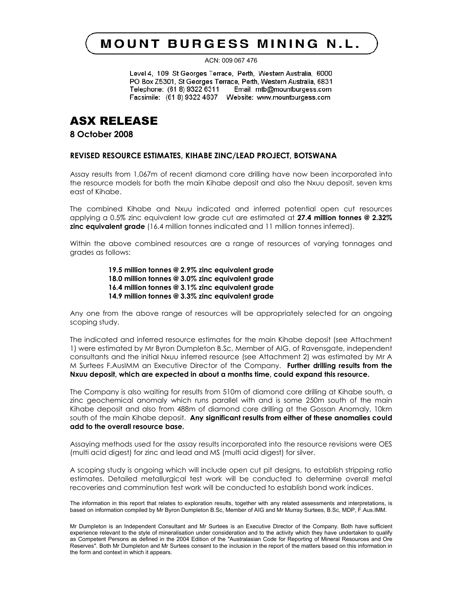## **MOUNT BURGESS MINING N.L.**

ACN: 009 067 476

Level 4, 109 St Georges Terrace, Perth, Western Australia, 6000 PO Box Z5301, St Georges Terrace, Perth, Western Australia, 6831 Telephone: (61 8) 9322 6311 Email: mtb@mountburgess.com Facsimile: (61 8) 9322 4607 Website: www.mountburgess.com

## ASX RELEASE

**8 October 2008**

#### **REVISED RESOURCE ESTIMATES, KIHABE ZINC/LEAD PROJECT, BOTSWANA**

Assay results from 1,067m of recent diamond core drilling have now been incorporated into the resource models for both the main Kihabe deposit and also the Nxuu deposit, seven kms east of Kihabe.

The combined Kihabe and Nxuu indicated and inferred potential open cut resources applying a 0.5% zinc equivalent low grade cut are estimated at **27.4 million tonnes @ 2.32% zinc equivalent grade** (16.4 million tonnes indicated and 11 million tonnes inferred).

Within the above combined resources are a range of resources of varying tonnages and grades as follows:

> **19.5 million tonnes @ 2.9% zinc equivalent grade 18.0 million tonnes @ 3.0% zinc equivalent grade 16.4 million tonnes @ 3.1% zinc equivalent grade 14.9 million tonnes @ 3.3% zinc equivalent grade**

Any one from the above range of resources will be appropriately selected for an ongoing scoping study.

The indicated and inferred resource estimates for the main Kihabe deposit (see Attachment 1) were estimated by Mr Byron Dumpleton B.Sc, Member of AIG, of Ravensgate, independent consultants and the initial Nxuu inferred resource (see Attachment 2) was estimated by Mr A M Surtees F.AusIMM an Executive Director of the Company. **Further drilling results from the Nxuu deposit, which are expected in about a months time, could expand this resource.**

The Company is also waiting for results from 510m of diamond core drilling at Kihabe south, a zinc geochemical anomaly which runs parallel with and is some 250m south of the main Kihabe deposit and also from 488m of diamond core drilling at the Gossan Anomaly, 10km south of the main Kihabe deposit. **Any significant results from either of these anomalies could add to the overall resource base.**

Assaying methods used for the assay results incorporated into the resource revisions were OES (multi acid digest) for zinc and lead and MS (multi acid digest) for silver.

A scoping study is ongoing which will include open cut pit designs, to establish stripping ratio estimates. Detailed metallurgical test work will be conducted to determine overall metal recoveries and comminution test work will be conducted to establish bond work indices.

The information in this report that relates to exploration results, together with any related assessments and interpretations, is based on information compiled by Mr Byron Dumpleton B.Sc, Member of AIG and Mr Murray Surtees, B.Sc, MDP, F.Aus.IMM.

Mr Dumpleton is an Independent Consultant and Mr Surtees is an Executive Director of the Company. Both have sufficient experience relevant to the style of mineralisation under consideration and to the activity which they have undertaken to qualify as Competent Persons as defined in the 2004 Edition of the "Australasian Code for Reporting of Mineral Resources and Ore Reserves". Both Mr Dumpleton and Mr Surtees consent to the inclusion in the report of the matters based on this information in the form and context in which it appears.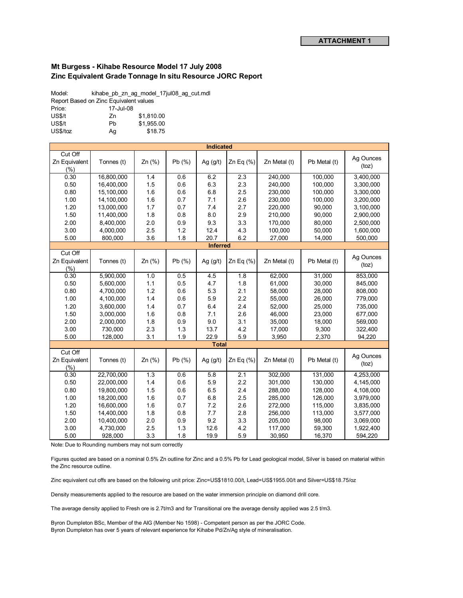#### **Mt Burgess - Kihabe Resource Model 17 July 2008 Zinc Equivalent Grade Tonnage In situ Resource JORC Report**

Model: kihabe\_pb\_zn\_ag\_model\_17jul08\_ag\_cut.mdl Report Based on Zinc Equivalent values

| Price:   |    | 17-Jul-08  |  |  |
|----------|----|------------|--|--|
| US\$/t   | 7n | \$1.810.00 |  |  |
| US\$/t   | Ph | \$1.955.00 |  |  |
| US\$/toz | Aq | \$18.75    |  |  |
|          |    |            |  |  |

| <b>Indicated</b>                    |            |          |        |                 |              |              |              |                    |
|-------------------------------------|------------|----------|--------|-----------------|--------------|--------------|--------------|--------------------|
| Cut Off<br>Zn Equivalent<br>(%)     | Tonnes (t) | $Zn$ (%) | Pb(%)  | Ag $(g/t)$      | Zn Eq $(\%)$ | Zn Metal (t) | Pb Metal (t) | Ag Ounces<br>(toz) |
| 0.30                                | 16,800,000 | 1.4      | 0.6    | 6.2             | 2.3          | 240,000      | 100,000      | 3,400,000          |
| 0.50                                | 16,400,000 | 1.5      | 0.6    | 6.3             | 2.3          | 240,000      | 100,000      | 3,300,000          |
| 0.80                                | 15,100,000 | 1.6      | 0.6    | 6.8             | 2.5          | 230,000      | 100,000      | 3,300,000          |
| 1.00                                | 14,100,000 | 1.6      | 0.7    | 7.1             | 2.6          | 230,000      | 100,000      | 3,200,000          |
| 1.20                                | 13,000,000 | 1.7      | 0.7    | 7.4             | 2.7          | 220,000      | 90,000       | 3,100,000          |
| 1.50                                | 11,400,000 | 1.8      | 0.8    | 8.0             | 2.9          | 210,000      | 90,000       | 2,900,000          |
| 2.00                                | 8,400,000  | 2.0      | 0.9    | 9.3             | 3.3          | 170,000      | 80,000       | 2,500,000          |
| 3.00                                | 4,000,000  | 2.5      | 1.2    | 12.4            | 4.3          | 100,000      | 50,000       | 1,600,000          |
| 5.00                                | 800,000    | 3.6      | 1.8    | 20.7            | 6.2          | 27,000       | 14,000       | 500,000            |
|                                     |            |          |        | <b>Inferred</b> |              |              |              |                    |
| Cut Off<br>Zn Equivalent<br>(% )    | Tonnes (t) | Zn (%)   | Pb (%) | Ag $(g/t)$      | Zn Eq $(\%)$ | Zn Metal (t) | Pb Metal (t) | Ag Ounces<br>(toz) |
| 0.30                                | 5,900,000  | 1.0      | 0.5    | 4.5             | 1.8          | 62,000       | 31,000       | 853,000            |
| 0.50                                | 5,600,000  | 1.1      | 0.5    | 4.7             | 1.8          | 61,000       | 30,000       | 845,000            |
| 0.80                                | 4,700,000  | 1.2      | 0.6    | 5.3             | 2.1          | 58,000       | 28,000       | 808,000            |
| 1.00                                | 4,100,000  | 1.4      | 0.6    | 5.9             | 2.2          | 55,000       | 26,000       | 779,000            |
| 1.20                                | 3,600,000  | 1.4      | 0.7    | 6.4             | 2.4          | 52,000       | 25,000       | 735,000            |
| 1.50                                | 3,000,000  | 1.6      | 0.8    | 7.1             | 2.6          | 46,000       | 23,000       | 677,000            |
| 2.00                                | 2,000,000  | 1.8      | 0.9    | 9.0             | 3.1          | 35,000       | 18,000       | 569,000            |
| 3.00                                | 730,000    | 2.3      | 1.3    | 13.7            | 4.2          | 17,000       | 9,300        | 322,400            |
| 5.00                                | 128,000    | 3.1      | 1.9    | 22.9            | 5.9          | 3,950        | 2,370        | 94,220             |
|                                     |            |          |        | <b>Total</b>    |              |              |              |                    |
| Cut Off<br>Zn Equivalent<br>$(\% )$ | Tonnes (t) | $Zn$ (%) | Pb(%)  | Ag $(g/t)$      | Zn Eq (%)    | Zn Metal (t) | Pb Metal (t) | Ag Ounces<br>(toz) |
| 0.30                                | 22,700,000 | 1.3      | 0.6    | 5.8             | 2.1          | 302,000      | 131,000      | 4,253,000          |
| 0.50                                | 22,000,000 | 1.4      | 0.6    | 5.9             | 2.2          | 301.000      | 130.000      | 4,145,000          |
| 0.80                                | 19.800.000 | 1.5      | 0.6    | 6.5             | 2.4          | 288.000      | 128.000      | 4,108,000          |
| 1.00                                | 18,200,000 | 1.6      | 0.7    | 6.8             | 2.5          | 285,000      | 126,000      | 3,979,000          |
| 1.20                                | 16,600,000 | 1.6      | 0.7    | 7.2             | 2.6          | 272,000      | 115,000      | 3,835,000          |
| 1.50                                | 14,400,000 | 1.8      | 0.8    | 7.7             | 2.8          | 256,000      | 113,000      | 3,577,000          |
| 2.00                                | 10,400,000 | 2.0      | 0.9    | 9.2             | 3.3          | 205,000      | 98,000       | 3,069,000          |
| 3.00                                | 4,730,000  | 2.5      | 1.3    | 12.6            | 4.2          | 117,000      | 59,300       | 1,922,400          |
| 5.00                                | 928,000    | 3.3      | 1.8    | 19.9            | 5.9          | 30,950       | 16,370       | 594,220            |

Note: Due to Rounding numbers may not sum correctly

Figures quoted are based on a nominal 0.5% Zn outline for Zinc and a 0.5% Pb for Lead geological model, Silver is based on material within the Zinc resource outline.

Zinc equivalent cut offs are based on the following unit price: Zinc=US\$1810.00/t, Lead=US\$1955.00/t and Silver=US\$18.75/oz

Density measurements applied to the resource are based on the water immersion principle on diamond drill core.

The average density applied to Fresh ore is 2.7t/m3 and for Transitional ore the average density applied was 2.5 t/m3.

Byron Dumpleton BSc, Member of the AIG (Member No 1598) - Competent person as per the JORC Code. Byron Dumpleton has over 5 years of relevant experience for Kihabe Pd/Zn/Ag style of mineralisation.